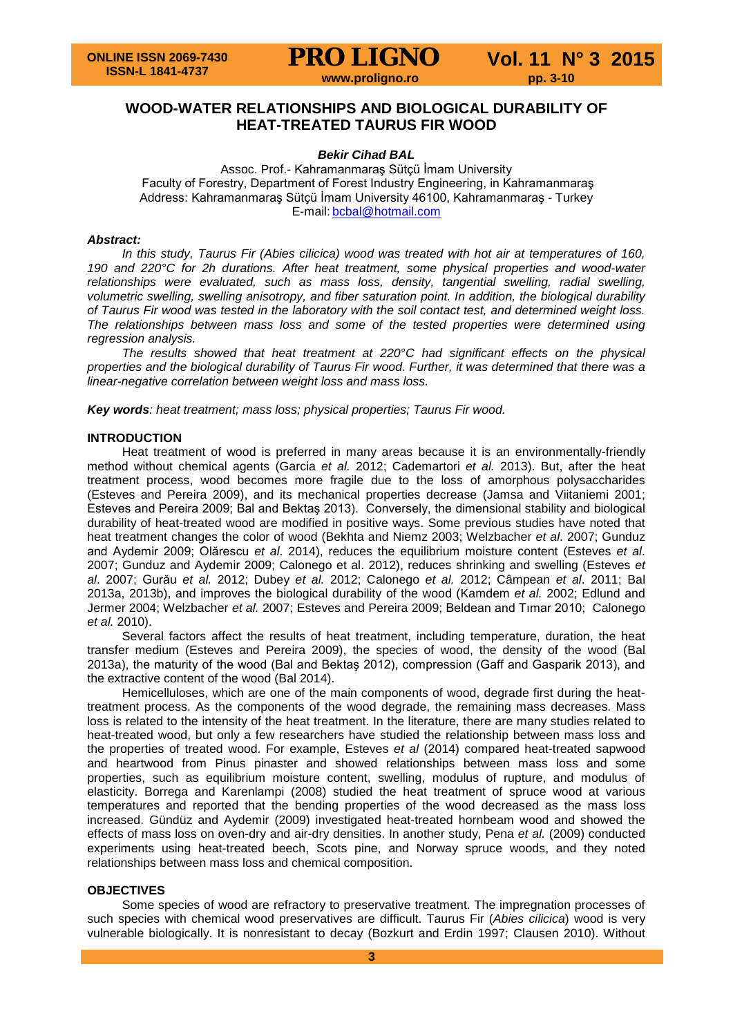

# **WOOD-WATER RELATIONSHIPS AND BIOLOGICAL DURABILITY OF HEAT-TREATED TAURUS FIR WOOD**

#### *Bekir Cihad BAL*

Assoc. Prof.- Kahramanmaraş Sütçü İmam University Faculty of Forestry, Department of Forest Industry Engineering, in Kahramanmaraş Address: Kahramanmaraş Sütçü İmam University 46100, Kahramanmaraş - Turkey E-mail: [bcbal@hotmail.com](mailto:bcbal@hotmail.com)

#### *Abstract:*

*In this study, Taurus Fir (Abies cilicica) wood was treated with hot air at temperatures of 160, 190 and 220°C for 2h durations. After heat treatment, some physical properties and wood-water relationships were evaluated, such as mass loss, density, tangential swelling, radial swelling, volumetric swelling, swelling anisotropy, and fiber saturation point. In addition, the biological durability of Taurus Fir wood was tested in the laboratory with the soil contact test, and determined weight loss. The relationships between mass loss and some of the tested properties were determined using regression analysis.*

*The results showed that heat treatment at 220°C had significant effects on the physical properties and the biological durability of Taurus Fir wood. Further, it was determined that there was a linear-negative correlation between weight loss and mass loss.*

*Key words: heat treatment; mass loss; physical properties; Taurus Fir wood.*

#### **INTRODUCTION**

Heat treatment of wood is preferred in many areas because it is an environmentally-friendly method without chemical agents (Garcia *et al.* 2012; Cademartori *et al.* 2013). But, after the heat treatment process, wood becomes more fragile due to the loss of amorphous polysaccharides (Esteves and Pereira 2009), and its mechanical properties decrease (Jamsa and Viitaniemi 2001; Esteves and Pereira 2009; Bal and Bektaş 2013). Conversely, the dimensional stability and biological durability of heat-treated wood are modified in positive ways. Some previous studies have noted that heat treatment changes the color of wood (Bekhta and Niemz 2003; Welzbacher *et al*. 2007; Gunduz and Aydemir 2009; Olărescu *et al*. 2014), reduces the equilibrium moisture content (Esteves *et al*. 2007; Gunduz and Aydemir 2009; Calonego et al. 2012), reduces shrinking and swelling (Esteves *et al*. 2007; Gurău *et al.* 2012; Dubey *et al.* 2012; Calonego *et al.* 2012; Câmpean *et al*. 2011; Bal 2013a, 2013b), and improves the biological durability of the wood (Kamdem *et al.* 2002; Edlund and Jermer 2004; Welzbacher *et al.* 2007; Esteves and Pereira 2009; Beldean and Tımar 2010; Calonego *et al.* 2010).

Several factors affect the results of heat treatment, including temperature, duration, the heat transfer medium (Esteves and Pereira 2009), the species of wood, the density of the wood (Bal 2013a), the maturity of the wood (Bal and Bektaş 2012), compression (Gaff and Gasparik 2013), and the extractive content of the wood (Bal 2014).

Hemicelluloses, which are one of the main components of wood, degrade first during the heattreatment process. As the components of the wood degrade, the remaining mass decreases. Mass loss is related to the intensity of the heat treatment. In the literature, there are many studies related to heat-treated wood, but only a few researchers have studied the relationship between mass loss and the properties of treated wood. For example, Esteves *et al* (2014) compared heat-treated sapwood and heartwood from Pinus pinaster and showed relationships between mass loss and some properties, such as equilibrium moisture content, swelling, modulus of rupture, and modulus of elasticity. Borrega and Karenlampi (2008) studied the heat treatment of spruce wood at various temperatures and reported that the bending properties of the wood decreased as the mass loss increased. Gündüz and Aydemir (2009) investigated heat-treated hornbeam wood and showed the effects of mass loss on oven-dry and air-dry densities. In another study, Pena *et al.* (2009) conducted experiments using heat-treated beech, Scots pine, and Norway spruce woods, and they noted relationships between mass loss and chemical composition.

#### **OBJECTIVES**

Some species of wood are refractory to preservative treatment. The impregnation processes of such species with chemical wood preservatives are difficult. Taurus Fir (*Abies cilicica*) wood is very vulnerable biologically. It is nonresistant to decay (Bozkurt and Erdin 1997; Clausen 2010). Without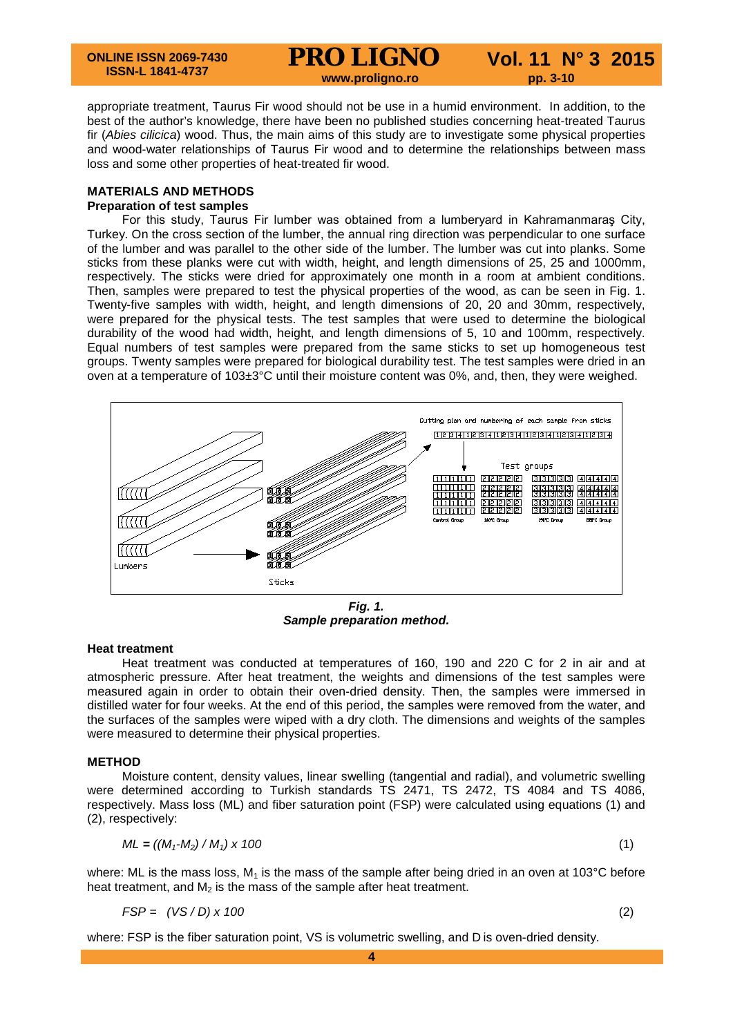appropriate treatment, Taurus Fir wood should not be use in a humid environment. In addition, to the best of the author's knowledge, there have been no published studies concerning heat-treated Taurus fir (*Abies cilicica*) wood. Thus, the main aims of this study are to investigate some physical properties and wood-water relationships of Taurus Fir wood and to determine the relationships between mass loss and some other properties of heat-treated fir wood.

#### **MATERIALS AND METHODS Preparation of test samples**

For this study, Taurus Fir lumber was obtained from a lumberyard in Kahramanmaraş City, Turkey. On the cross section of the lumber, the annual ring direction was perpendicular to one surface of the lumber and was parallel to the other side of the lumber. The lumber was cut into planks. Some sticks from these planks were cut with width, height, and length dimensions of 25, 25 and 1000mm, respectively. The sticks were dried for approximately one month in a room at ambient conditions. Then, samples were prepared to test the physical properties of the wood, as can be seen in Fig. 1. Twenty-five samples with width, height, and length dimensions of 20, 20 and 30mm, respectively, were prepared for the physical tests. The test samples that were used to determine the biological durability of the wood had width, height, and length dimensions of 5, 10 and 100mm, respectively. Equal numbers of test samples were prepared from the same sticks to set up homogeneous test groups. Twenty samples were prepared for biological durability test. The test samples were dried in an oven at a temperature of 103±3°C until their moisture content was 0%, and, then, they were weighed.



*Fig. 1. Sample preparation method.*

### **Heat treatment**

Heat treatment was conducted at temperatures of 160, 190 and 220 C for 2 in air and at atmospheric pressure. After heat treatment, the weights and dimensions of the test samples were measured again in order to obtain their oven-dried density. Then, the samples were immersed in distilled water for four weeks. At the end of this period, the samples were removed from the water, and the surfaces of the samples were wiped with a dry cloth. The dimensions and weights of the samples were measured to determine their physical properties.

### **METHOD**

Moisture content, density values, linear swelling (tangential and radial), and volumetric swelling were determined according to Turkish standards TS 2471, TS 2472, TS 4084 and TS 4086, respectively. Mass loss (ML) and fiber saturation point (FSP) were calculated using equations (1) and (2), respectively:

$$
ML = ((M_1 - M_2) / M_1) \times 100
$$
 (1)

where: ML is the mass loss,  $M_1$  is the mass of the sample after being dried in an oven at 103°C before heat treatment, and  $M_2$  is the mass of the sample after heat treatment.

$$
FSP = (VS/D) \times 100 \tag{2}
$$

where: FSP is the fiber saturation point, VS is volumetric swelling, and D is oven-dried density.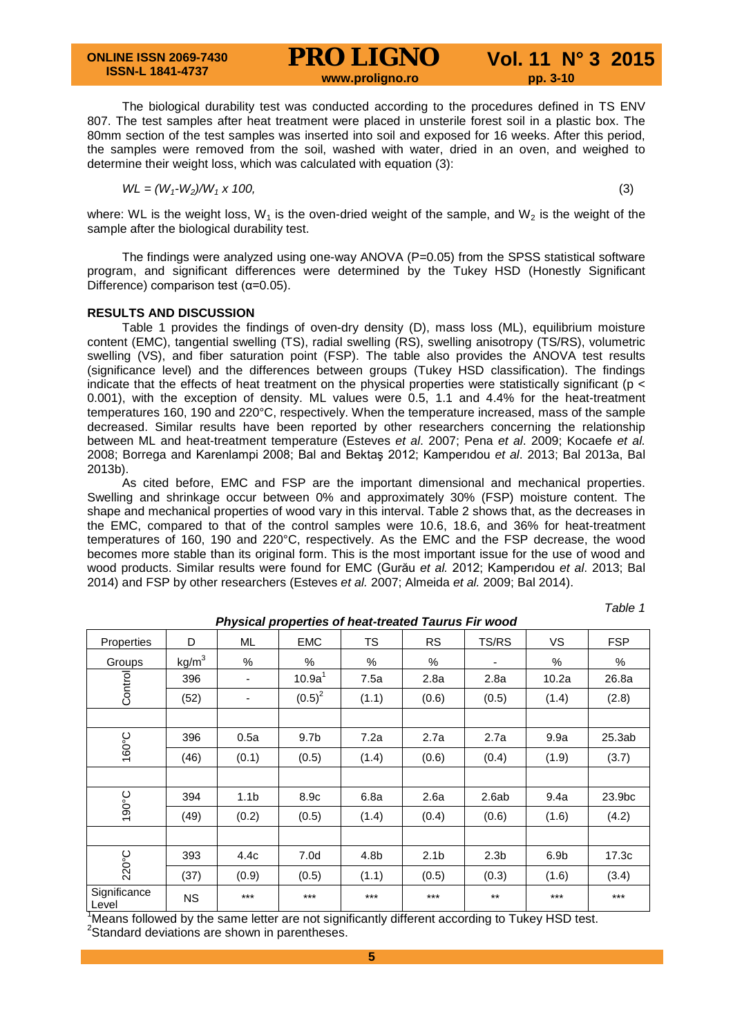The biological durability test was conducted according to the procedures defined in TS ENV 807. The test samples after heat treatment were placed in unsterile forest soil in a plastic box. The 80mm section of the test samples was inserted into soil and exposed for 16 weeks. After this period, the samples were removed from the soil, washed with water, dried in an oven, and weighed to determine their weight loss, which was calculated with equation (3):

$$
WL = (W_1-W_2)/W_1 \times 100,
$$
\n(3)

where: WL is the weight loss, W<sub>1</sub> is the oven-dried weight of the sample, and W<sub>2</sub> is the weight of the sample after the biological durability test.

The findings were analyzed using one-way ANOVA (P=0.05) from the SPSS statistical software program, and significant differences were determined by the Tukey HSD (Honestly Significant Difference) comparison test  $(\alpha=0.05)$ .

### **RESULTS AND DISCUSSION**

Table 1 provides the findings of oven-dry density (D), mass loss (ML), equilibrium moisture content (EMC), tangential swelling (TS), radial swelling (RS), swelling anisotropy (TS/RS), volumetric swelling (VS), and fiber saturation point (FSP). The table also provides the ANOVA test results (significance level) and the differences between groups (Tukey HSD classification). The findings indicate that the effects of heat treatment on the physical properties were statistically significant ( $p <$ 0.001), with the exception of density. ML values were 0.5, 1.1 and 4.4% for the heat-treatment temperatures 160, 190 and 220°C, respectively. When the temperature increased, mass of the sample decreased. Similar results have been reported by other researchers concerning the relationship between ML and heat-treatment temperature (Esteves *et al*. 2007; Pena *et al*. 2009; Kocaefe *et al.*  2008; Borrega and Karenlampi 2008; Bal and Bektaş 2012; Kamperıdou *et al*. 2013; Bal 2013a, Bal 2013b).

As cited before, EMC and FSP are the important dimensional and mechanical properties. Swelling and shrinkage occur between 0% and approximately 30% (FSP) moisture content. The shape and mechanical properties of wood vary in this interval. Table 2 shows that, as the decreases in the EMC, compared to that of the control samples were 10.6, 18.6, and 36% for heat-treatment temperatures of 160, 190 and 220°C, respectively. As the EMC and the FSP decrease, the wood becomes more stable than its original form. This is the most important issue for the use of wood and wood products. Similar results were found for EMC (Gurău *et al.* 2012; Kamperıdou *et al*. 2013; Bal 2014) and FSP by other researchers (Esteves *et al.* 2007; Almeida *et al.* 2009; Bal 2014).

*Table 1*

| Physical properties of heat-treated Taurus Fir wood |                   |                  |                    |       |                  |                  |                  |            |
|-----------------------------------------------------|-------------------|------------------|--------------------|-------|------------------|------------------|------------------|------------|
| Properties                                          | D                 | ML               | <b>EMC</b>         | TS    | <b>RS</b>        | TS/RS            | VS.              | <b>FSP</b> |
| Groups                                              | kg/m <sup>3</sup> | %                | %                  | %     | %                |                  | %                | %          |
| Control                                             | 396               | -                | 10.9a <sup>1</sup> | 7.5a  | 2.8a             | 2.8a             | 10.2a            | 26.8a      |
|                                                     | (52)              | ٠                | $(0.5)^2$          | (1.1) | (0.6)            | (0.5)            | (1.4)            | (2.8)      |
|                                                     |                   |                  |                    |       |                  |                  |                  |            |
| 160°C                                               | 396               | 0.5a             | 9.7 <sub>b</sub>   | 7.2a  | 2.7a             | 2.7a             | 9.9a             | 25.3ab     |
|                                                     | (46)              | (0.1)            | (0.5)              | (1.4) | (0.6)            | (0.4)            | (1.9)            | (3.7)      |
|                                                     |                   |                  |                    |       |                  |                  |                  |            |
| 190°C                                               | 394               | 1.1 <sub>b</sub> | 8.9c               | 6.8a  | 2.6a             | 2.6ab            | 9.4a             | 23.9bc     |
|                                                     | (49)              | (0.2)            | (0.5)              | (1.4) | (0.4)            | (0.6)            | (1.6)            | (4.2)      |
|                                                     |                   |                  |                    |       |                  |                  |                  |            |
| 220°C                                               | 393               | 4.4c             | 7.0 <sub>d</sub>   | 4.8b  | 2.1 <sub>b</sub> | 2.3 <sub>b</sub> | 6.9 <sub>b</sub> | 17.3c      |
|                                                     | (37)              | (0.9)            | (0.5)              | (1.1) | (0.5)            | (0.3)            | (1.6)            | (3.4)      |
| Significance<br>Level                               | <b>NS</b>         | $***$            | $***$              | $***$ | $***$            | $***$            | $***$            | $***$      |

Means followed by the same letter are not significantly different according to Tukey HSD test.

<sup>2</sup>Standard deviations are shown in parentheses.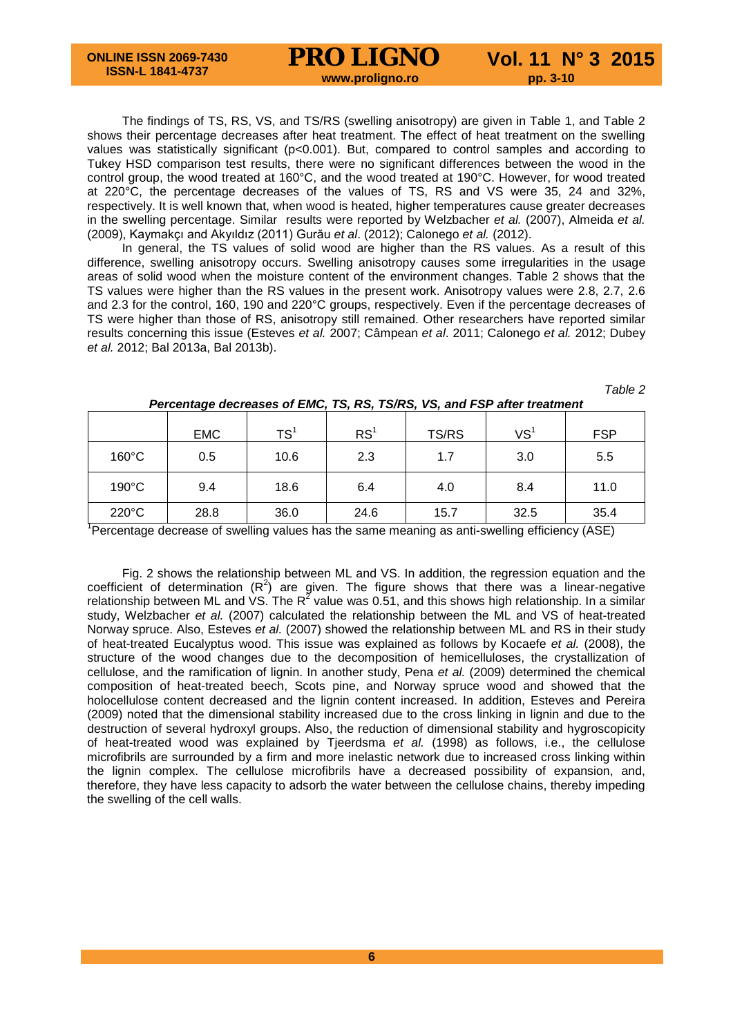The findings of TS, RS, VS, and TS/RS (swelling anisotropy) are given in Table 1, and Table 2 shows their percentage decreases after heat treatment. The effect of heat treatment on the swelling values was statistically significant (p<0.001). But, compared to control samples and according to Tukey HSD comparison test results, there were no significant differences between the wood in the control group, the wood treated at 160°C, and the wood treated at 190°C. However, for wood treated at 220°C, the percentage decreases of the values of TS, RS and VS were 35, 24 and 32%, respectively. It is well known that, when wood is heated, higher temperatures cause greater decreases in the swelling percentage. Similar results were reported by Welzbacher *et al.* (2007), Almeida *et al.* (2009), Kaymakçı and Akyıldız (2011) Gurău *et al*. (2012); Calonego *et al.* (2012).

In general, the TS values of solid wood are higher than the RS values. As a result of this difference, swelling anisotropy occurs. Swelling anisotropy causes some irregularities in the usage areas of solid wood when the moisture content of the environment changes. Table 2 shows that the TS values were higher than the RS values in the present work. Anisotropy values were 2.8, 2.7, 2.6 and 2.3 for the control, 160, 190 and 220°C groups, respectively. Even if the percentage decreases of TS were higher than those of RS, anisotropy still remained. Other researchers have reported similar results concerning this issue (Esteves *et al.* 2007; Câmpean *et al*. 2011; Calonego *et al.* 2012; Dubey *et al.* 2012; Bal 2013a, Bal 2013b).

| Table 2 |  |
|---------|--|
|         |  |

|                 | <b>EMC</b> | TS <sup>1</sup> | RS <sup>1</sup> | TS/RS | VS <sup>1</sup> | <b>FSP</b> |
|-----------------|------------|-----------------|-----------------|-------|-----------------|------------|
| $160^{\circ}$ C | 0.5        | 10.6            | 2.3             | 1.7   | 3.0             | 5.5        |
| $190^{\circ}$ C | 9.4        | 18.6            | 6.4             | 4.0   | 8.4             | 11.0       |
| $220^{\circ}$ C | 28.8       | 36.0            | 24.6            | 15.7  | 32.5            | 35.4       |

## *Percentage decreases of EMC, TS, RS, TS/RS, VS, and FSP after treatment*

<sup>1</sup>Percentage decrease of swelling values has the same meaning as anti-swelling efficiency (ASE)

Fig. 2 shows the relationship between ML and VS. In addition, the regression equation and the coefficient of determination  $(R^2)$  are given. The figure shows that there was a linear-negative relationship between ML and VS. The  $R^2$  value was 0.51, and this shows high relationship. In a similar study, Welzbacher *et al.* (2007) calculated the relationship between the ML and VS of heat-treated Norway spruce. Also, Esteves *et al.* (2007) showed the relationship between ML and RS in their study of heat-treated Eucalyptus wood. This issue was explained as follows by Kocaefe *et al.* (2008), the structure of the wood changes due to the decomposition of hemicelluloses, the crystallization of cellulose, and the ramification of lignin. In another study, Pena *et al.* (2009) determined the chemical composition of heat-treated beech, Scots pine, and Norway spruce wood and showed that the holocellulose content decreased and the lignin content increased. In addition, Esteves and Pereira (2009) noted that the dimensional stability increased due to the cross linking in lignin and due to the destruction of several hydroxyl groups. Also, the reduction of dimensional stability and hygroscopicity of heat-treated wood was explained by Tjeerdsma *et al.* (1998) as follows, i.e., the cellulose microfibrils are surrounded by a firm and more inelastic network due to increased cross linking within the lignin complex. The cellulose microfibrils have a decreased possibility of expansion, and, therefore, they have less capacity to adsorb the water between the cellulose chains, thereby impeding the swelling of the cell walls.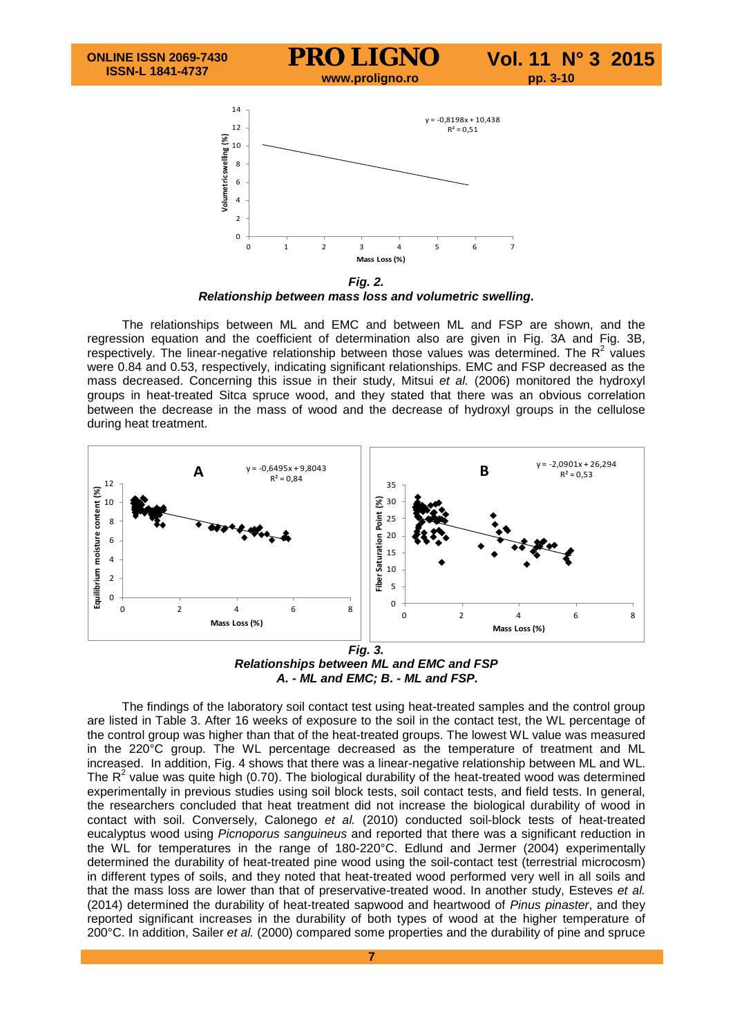

*Fig. 2. Relationship between mass loss and volumetric swelling.*

The relationships between ML and EMC and between ML and FSP are shown, and the regression equation and the coefficient of determination also are given in Fig. 3A and Fig. 3B, respectively. The linear-negative relationship between those values was determined. The  $R^2$  values were 0.84 and 0.53, respectively, indicating significant relationships. EMC and FSP decreased as the mass decreased. Concerning this issue in their study, Mitsui *et al.* (2006) monitored the hydroxyl groups in heat-treated Sitca spruce wood, and they stated that there was an obvious correlation between the decrease in the mass of wood and the decrease of hydroxyl groups in the cellulose during heat treatment.



*Relationships between ML and EMC and FSP A. - ML and EMC; B. - ML and FSP.*

The findings of the laboratory soil contact test using heat-treated samples and the control group are listed in Table 3. After 16 weeks of exposure to the soil in the contact test, the WL percentage of the control group was higher than that of the heat-treated groups. The lowest WL value was measured in the 220°C group. The WL percentage decreased as the temperature of treatment and ML increased. In addition, Fig. 4 shows that there was a linear-negative relationship between ML and WL. The  $R^2$  value was quite high (0.70). The biological durability of the heat-treated wood was determined experimentally in previous studies using soil block tests, soil contact tests, and field tests. In general, the researchers concluded that heat treatment did not increase the biological durability of wood in contact with soil. Conversely, Calonego *et al.* (2010) conducted soil-block tests of heat-treated eucalyptus wood using *Picnoporus sanguineus* and reported that there was a significant reduction in the WL for temperatures in the range of 180-220°C. Edlund and Jermer (2004) experimentally determined the durability of heat-treated pine wood using the soil-contact test (terrestrial microcosm) in different types of soils, and they noted that heat-treated wood performed very well in all soils and that the mass loss are lower than that of preservative-treated wood. In another study, Esteves *et al.* (2014) determined the durability of heat-treated sapwood and heartwood of *Pinus pinaster*, and they reported significant increases in the durability of both types of wood at the higher temperature of 200°C. In addition, Sailer *et al.* (2000) compared some properties and the durability of pine and spruce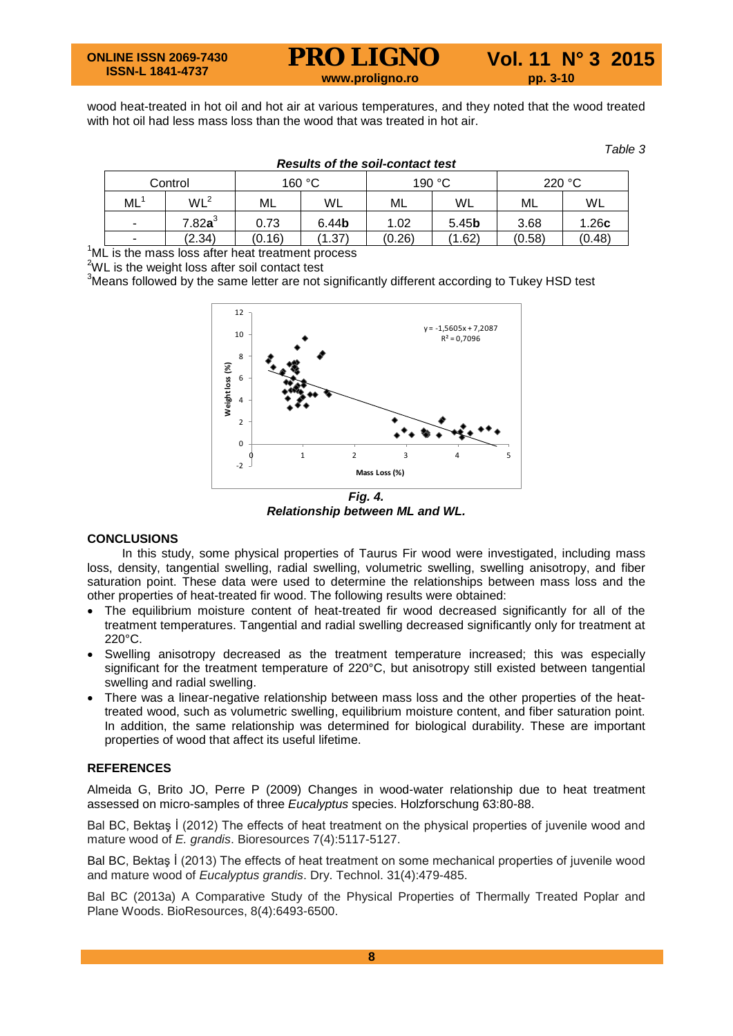wood heat-treated in hot oil and hot air at various temperatures, and they noted that the wood treated with hot oil had less mass loss than the wood that was treated in hot air.

*Results of the soil-contact test*

*Table 3*

| Results of the soft-contact lest |                 |        |                   |        |                   |        |        |  |
|----------------------------------|-----------------|--------|-------------------|--------|-------------------|--------|--------|--|
| Control                          |                 | 160 °C |                   | 190 °C |                   | 220 °C |        |  |
| ML                               | WL <sup>2</sup> | ML     | WL                | ML     | WL                | ML     | WL     |  |
| $\blacksquare$                   | $7.82$ a $^3$   | 0.73   | 6.44 <sub>b</sub> | 1.02   | 5.45 <sub>b</sub> | 3.68   | 1.26c  |  |
| $\blacksquare$                   | (2.34)          | (0.16) | (1.37)            | (0.26) | (1.62)            | (0.58) | (0.48) |  |

 $1$ <sup>ML</sup> is the mass loss after heat treatment process

 $2^2$ WL is the weight loss after soil contact test

 $3$ Means followed by the same letter are not significantly different according to Tukey HSD test



*Relationship between ML and WL.*

#### **CONCLUSIONS**

In this study, some physical properties of Taurus Fir wood were investigated, including mass loss, density, tangential swelling, radial swelling, volumetric swelling, swelling anisotropy, and fiber saturation point. These data were used to determine the relationships between mass loss and the other properties of heat-treated fir wood. The following results were obtained:

- The equilibrium moisture content of heat-treated fir wood decreased significantly for all of the treatment temperatures. Tangential and radial swelling decreased significantly only for treatment at 220°C.
- Swelling anisotropy decreased as the treatment temperature increased; this was especially significant for the treatment temperature of 220°C, but anisotropy still existed between tangential swelling and radial swelling.
- There was a linear-negative relationship between mass loss and the other properties of the heattreated wood, such as volumetric swelling, equilibrium moisture content, and fiber saturation point. In addition, the same relationship was determined for biological durability. These are important properties of wood that affect its useful lifetime.

#### **REFERENCES**

Almeida G, Brito JO, Perre P (2009) Changes in wood-water relationship due to heat treatment assessed on micro-samples of three *Eucalyptus* species. Holzforschung 63:80-88.

Bal BC, Bektaş İ (2012) The effects of heat treatment on the physical properties of juvenile wood and mature wood of *E. grandis*. Bioresources 7(4):5117-5127.

Bal BC, Bektaş İ (2013) The effects of heat treatment on some mechanical properties of juvenile wood and mature wood of *Eucalyptus grandis*. Dry. Technol. 31(4):479-485.

Bal BC (2013a) A Comparative Study of the Physical Properties of Thermally Treated Poplar and Plane Woods. BioResources, 8(4):6493-6500.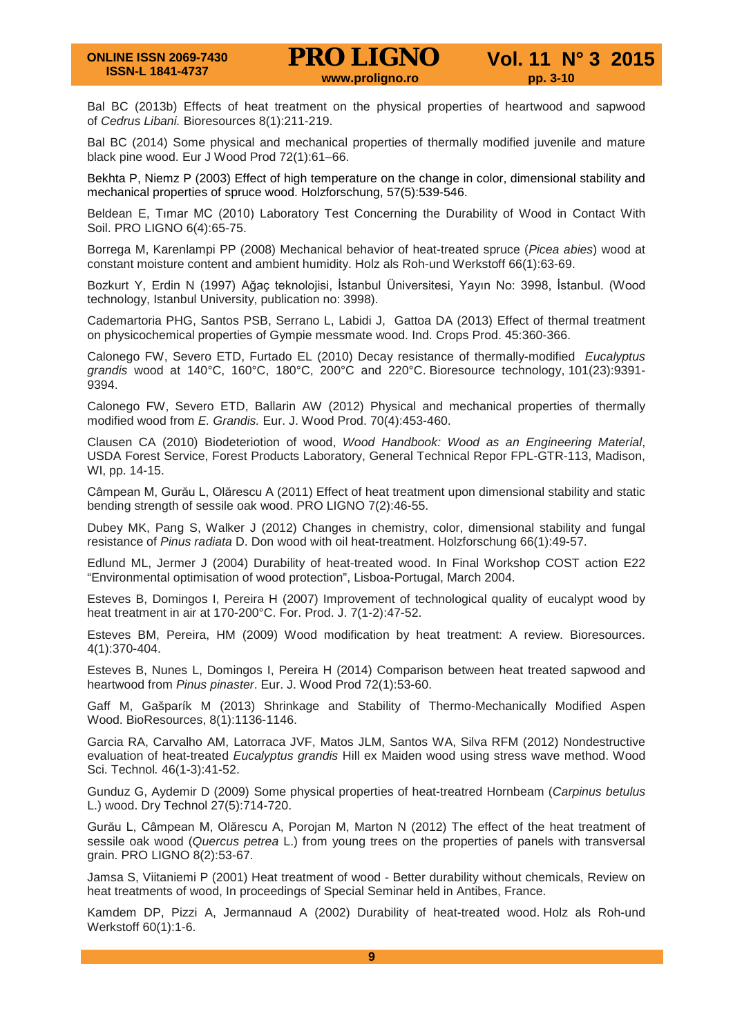Bal BC (2013b) Effects of heat treatment on the physical properties of heartwood and sapwood of *Cedrus Libani.* Bioresources 8(1):211-219.

Bal BC (2014) Some physical and mechanical properties of thermally modified juvenile and mature black pine wood. Eur J Wood Prod 72(1):61–66.

Bekhta P, Niemz P (2003) Effect of high temperature on the change in color, dimensional stability and mechanical properties of spruce wood. Holzforschung, 57(5):539-546.

Beldean E, Tımar MC (2010) Laboratory Test Concerning the Durability of Wood in Contact With Soil. PRO LIGNO 6(4):65-75.

Borrega M, Karenlampi PP (2008) Mechanical behavior of heat-treated spruce (*Picea abies*) wood at constant moisture content and ambient humidity. Holz als Roh-und Werkstoff 66(1):63-69.

Bozkurt Y, Erdin N (1997) Ağaç teknolojisi, İstanbul Üniversitesi, Yayın No: 3998, İstanbul. (Wood technology, Istanbul University, publication no: 3998).

Cademartoria PHG, Santos PSB, Serrano L, Labidi J, Gattoa DA (2013) Effect of thermal treatment on physicochemical properties of Gympie messmate wood. Ind. Crops Prod. 45:360-366.

Calonego FW, Severo ETD, Furtado EL (2010) Decay resistance of thermally-modified *Eucalyptus grandis* wood at 140°C, 160°C, 180°C, 200°C and 220°C. Bioresource technology, 101(23):9391- 9394.

Calonego FW, Severo ETD, Ballarin AW (2012) Physical and mechanical properties of thermally modified wood from *E. Grandis.* Eur. J. Wood Prod. 70(4):453-460.

Clausen CA (2010) Biodeteriotion of wood, *Wood Handbook: Wood as an Engineering Material*, USDA Forest Service, Forest Products Laboratory, General Technical Repor FPL-GTR-113, Madison, WI, pp. 14-15.

Câmpean M, Gurău L, Olărescu A (2011) Effect of heat treatment upon dimensional stability and static bending strength of sessile oak wood. PRO LIGNO 7(2):46-55.

Dubey MK, Pang S, Walker J (2012) Changes in chemistry, color, dimensional stability and fungal resistance of *Pinus radiata* D. Don wood with oil heat-treatment. Holzforschung 66(1):49-57.

Edlund ML, Jermer J (2004) Durability of heat-treated wood. In Final Workshop COST action E22 "Environmental optimisation of wood protection", Lisboa-Portugal, March 2004.

Esteves B, Domingos I, Pereira H (2007) Improvement of technological quality of eucalypt wood by heat treatment in air at 170-200°C. For. Prod. J. 7(1-2):47-52.

Esteves BM, Pereira, HM (2009) Wood modification by heat treatment: A review. Bioresources. 4(1):370-404.

Esteves B, Nunes L, Domingos I, Pereira H (2014) Comparison between heat treated sapwood and heartwood from *Pinus pinaster*. Eur. J. Wood Prod 72(1):53-60.

Gaff M, Gašparík M (2013) Shrinkage and Stability of Thermo-Mechanically Modified Aspen Wood. BioResources, 8(1):1136-1146.

Garcia RA, Carvalho AM, Latorraca JVF, Matos JLM, Santos WA, Silva RFM (2012) Nondestructive evaluation of heat-treated *Eucalyptus grandis* Hill ex Maiden wood using stress wave method. Wood Sci. Technol*.* 46(1-3):41-52.

Gunduz G, Aydemir D (2009) Some physical properties of heat-treatred Hornbeam (*Carpinus betulus* L.) wood. Dry Technol 27(5):714-720.

Gurău L, Câmpean M, Olărescu A, Porojan M, Marton N (2012) The effect of the heat treatment of sessile oak wood (*Quercus petrea* L.) from young trees on the properties of panels with transversal grain. PRO LIGNO 8(2):53-67.

Jamsa S, Viitaniemi P (2001) Heat treatment of wood - Better durability without chemicals, Review on heat treatments of wood, In proceedings of Special Seminar held in Antibes, France.

Kamdem DP, Pizzi A, Jermannaud A (2002) Durability of heat-treated wood. Holz als Roh-und Werkstoff 60(1):1-6.